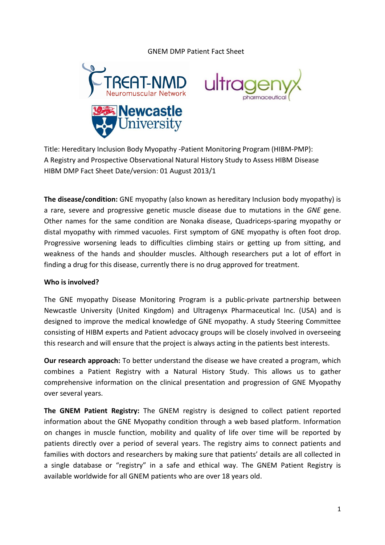## GNEM DMP Patient Fact Sheet





Title: Hereditary Inclusion Body Myopathy -Patient Monitoring Program (HIBM-PMP): A Registry and Prospective Observational Natural History Study to Assess HIBM Disease HIBM DMP Fact Sheet Date/version: 01 August 2013/1

**The disease/condition:** GNE myopathy (also known as hereditary Inclusion body myopathy) is a rare, severe and progressive genetic muscle disease due to mutations in the *GNE* gene. Other names for the same condition are Nonaka disease, Quadriceps-sparing myopathy or distal myopathy with rimmed vacuoles. First symptom of GNE myopathy is often foot drop. Progressive worsening leads to difficulties climbing stairs or getting up from sitting, and weakness of the hands and shoulder muscles. Although researchers put a lot of effort in finding a drug for this disease, currently there is no drug approved for treatment.

## **Who is involved?**

The GNE myopathy Disease Monitoring Program is a public-private partnership between Newcastle University (United Kingdom) and Ultragenyx Pharmaceutical Inc. (USA) and is designed to improve the medical knowledge of GNE myopathy. A study Steering Committee consisting of HIBM experts and Patient advocacy groups will be closely involved in overseeing this research and will ensure that the project is always acting in the patients best interests.

**Our research approach:** To better understand the disease we have created a program, which combines a Patient Registry with a Natural History Study. This allows us to gather comprehensive information on the clinical presentation and progression of GNE Myopathy over several years.

**The GNEM Patient Registry:** The GNEM registry is designed to collect patient reported information about the GNE Myopathy condition through a web based platform. Information on changes in muscle function, mobility and quality of life over time will be reported by patients directly over a period of several years. The registry aims to connect patients and families with doctors and researchers by making sure that patients' details are all collected in a single database or "registry" in a safe and ethical way. The GNEM Patient Registry is available worldwide for all GNEM patients who are over 18 years old.